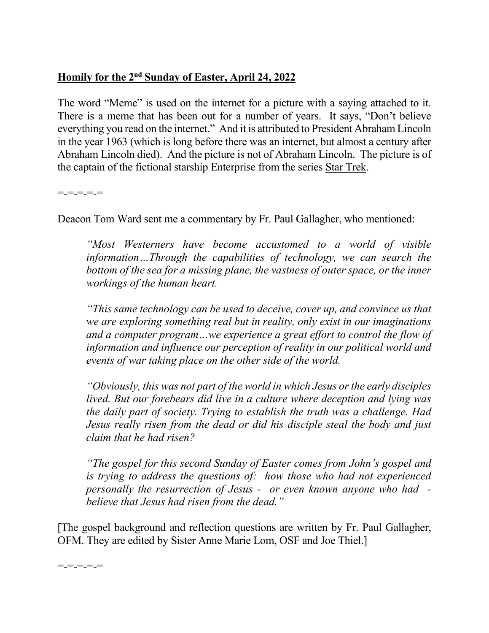## **Homily for the 2nd Sunday of Easter, April 24, 2022**

The word "Meme" is used on the internet for a picture with a saying attached to it. There is a meme that has been out for a number of years. It says, "Don't believe everything you read on the internet." And it is attributed to President Abraham Lincoln in the year 1963 (which is long before there was an internet, but almost a century after Abraham Lincoln died). And the picture is not of Abraham Lincoln. The picture is of the captain of the fictional starship Enterprise from the series Star Trek.

=-=-=-=-=

Deacon Tom Ward sent me a commentary by Fr. Paul Gallagher, who mentioned:

*"Most Westerners have become accustomed to a world of visible information…Through the capabilities of technology, we can search the bottom of the sea for a missing plane, the vastness of outer space, or the inner workings of the human heart.* 

*"This same technology can be used to deceive, cover up, and convince us that we are exploring something real but in reality, only exist in our imaginations and a computer program…we experience a great effort to control the flow of information and influence our perception of reality in our political world and events of war taking place on the other side of the world.* 

*"Obviously, this was not part of the world in which Jesus or the early disciples lived. But our forebears did live in a culture where deception and lying was the daily part of society. Trying to establish the truth was a challenge. Had Jesus really risen from the dead or did his disciple steal the body and just claim that he had risen?* 

*"The gospel for this second Sunday of Easter comes from John's gospel and is trying to address the questions of: how those who had not experienced personally the resurrection of Jesus - or even known anyone who had believe that Jesus had risen from the dead."* 

[The gospel background and reflection questions are written by Fr. Paul Gallagher, OFM. They are edited by Sister Anne Marie Lom, OSF and Joe Thiel.]

=-=-=-=-=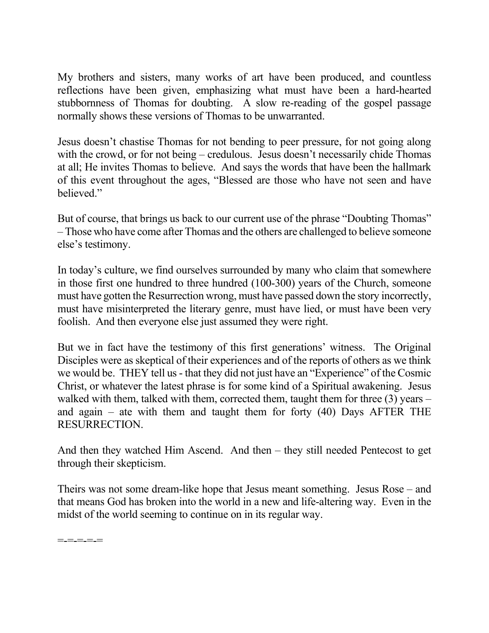My brothers and sisters, many works of art have been produced, and countless reflections have been given, emphasizing what must have been a hard-hearted stubbornness of Thomas for doubting. A slow re-reading of the gospel passage normally shows these versions of Thomas to be unwarranted.

Jesus doesn't chastise Thomas for not bending to peer pressure, for not going along with the crowd, or for not being – credulous. Jesus doesn't necessarily chide Thomas at all; He invites Thomas to believe. And says the words that have been the hallmark of this event throughout the ages, "Blessed are those who have not seen and have believed."

But of course, that brings us back to our current use of the phrase "Doubting Thomas" – Those who have come after Thomas and the others are challenged to believe someone else's testimony.

In today's culture, we find ourselves surrounded by many who claim that somewhere in those first one hundred to three hundred (100-300) years of the Church, someone must have gotten the Resurrection wrong, must have passed down the story incorrectly, must have misinterpreted the literary genre, must have lied, or must have been very foolish. And then everyone else just assumed they were right.

But we in fact have the testimony of this first generations' witness. The Original Disciples were as skeptical of their experiences and of the reports of others as we think we would be. THEY tell us - that they did not just have an "Experience" of the Cosmic Christ, or whatever the latest phrase is for some kind of a Spiritual awakening. Jesus walked with them, talked with them, corrected them, taught them for three (3) years – and again – ate with them and taught them for forty  $(40)$  Days AFTER THE RESURRECTION.

And then they watched Him Ascend. And then – they still needed Pentecost to get through their skepticism.

Theirs was not some dream-like hope that Jesus meant something. Jesus Rose – and that means God has broken into the world in a new and life-altering way. Even in the midst of the world seeming to continue on in its regular way.

=-=-=-=-=